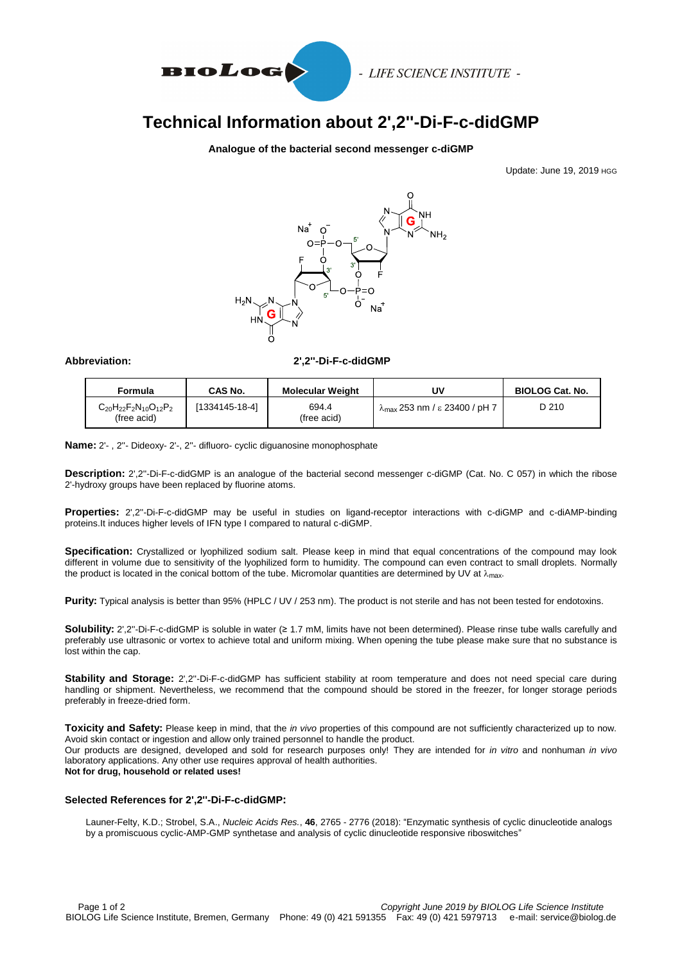

- LIFE SCIENCE INSTITUTE -

# **Technical Information about 2',2''-Di-F-c-didGMP**

### **Analogue of the bacterial second messenger c-diGMP**

Update: June 19, 2019 HGG



#### **Abbreviation: 2',2''-Di-F-c-didGMP**

| Formula                                             | CAS No.        | <b>Molecular Weight</b> | uv                                             | <b>BIOLOG Cat. No.</b> |
|-----------------------------------------------------|----------------|-------------------------|------------------------------------------------|------------------------|
| $C_{20}H_{22}F_{2}N_{10}O_{12}P_{2}$<br>(free acid) | [1334145-18-4] | 694.4<br>(free acid)    | $\lambda_{\text{max}}$ 253 nm / ε 23400 / pH 7 | D 210                  |

**Name:** 2'- , 2''- Dideoxy- 2'-, 2''- difluoro- cyclic diguanosine monophosphate

**Description:** 2',2''-Di-F-c-didGMP is an analogue of the bacterial second messenger c-diGMP (Cat. No. C 057) in which the ribose 2'-hydroxy groups have been replaced by fluorine atoms.

**Properties:** 2',2''-Di-F-c-didGMP may be useful in studies on ligand-receptor interactions with c-diGMP and c-diAMP-binding proteins.It induces higher levels of IFN type I compared to natural c-diGMP.

**Specification:** Crystallized or lyophilized sodium salt. Please keep in mind that equal concentrations of the compound may look different in volume due to sensitivity of the lyophilized form to humidity. The compound can even contract to small droplets. Normally the product is located in the conical bottom of the tube. Micromolar quantities are determined by UV at  $\lambda_{\text{max}}$ .

**Purity:** Typical analysis is better than 95% (HPLC / UV / 253 nm). The product is not sterile and has not been tested for endotoxins.

**Solubility:** 2',2''-Di-F-c-didGMP is soluble in water (≥ 1.7 mM, limits have not been determined). Please rinse tube walls carefully and preferably use ultrasonic or vortex to achieve total and uniform mixing. When opening the tube please make sure that no substance is lost within the cap.

Stability and Storage: 2',2"-Di-F-c-didGMP has sufficient stability at room temperature and does not need special care during handling or shipment. Nevertheless, we recommend that the compound should be stored in the freezer, for longer storage periods preferably in freeze-dried form.

**Toxicity and Safety:** Please keep in mind, that the *in vivo* properties of this compound are not sufficiently characterized up to now. Avoid skin contact or ingestion and allow only trained personnel to handle the product.

Our products are designed, developed and sold for research purposes only! They are intended for *in vitro* and nonhuman *in vivo* laboratory applications. Any other use requires approval of health authorities.

**Not for drug, household or related uses!**

#### **Selected References for 2',2''-Di-F-c-didGMP:**

 Launer-Felty, K.D.; Strobel, S.A., *Nucleic Acids Res.*, **46**, 2765 - 2776 (2018): "Enzymatic synthesis of cyclic dinucleotide analogs by a promiscuous cyclic-AMP-GMP synthetase and analysis of cyclic dinucleotide responsive riboswitches"